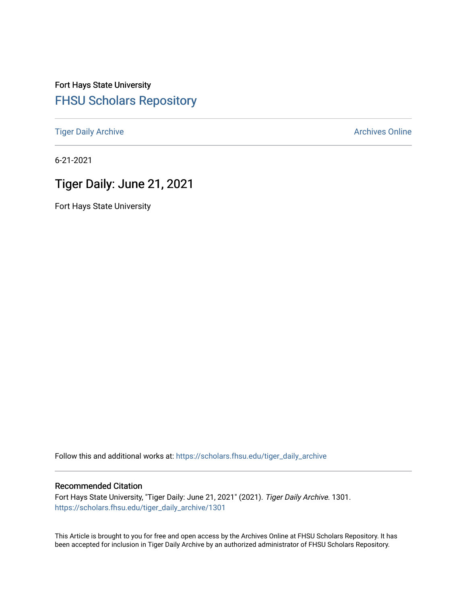# Fort Hays State University [FHSU Scholars Repository](https://scholars.fhsu.edu/)

[Tiger Daily Archive](https://scholars.fhsu.edu/tiger_daily_archive) **Archives** Online Archives Online

6-21-2021

# Tiger Daily: June 21, 2021

Fort Hays State University

Follow this and additional works at: [https://scholars.fhsu.edu/tiger\\_daily\\_archive](https://scholars.fhsu.edu/tiger_daily_archive?utm_source=scholars.fhsu.edu%2Ftiger_daily_archive%2F1301&utm_medium=PDF&utm_campaign=PDFCoverPages)

# Recommended Citation

Fort Hays State University, "Tiger Daily: June 21, 2021" (2021). Tiger Daily Archive. 1301. [https://scholars.fhsu.edu/tiger\\_daily\\_archive/1301](https://scholars.fhsu.edu/tiger_daily_archive/1301?utm_source=scholars.fhsu.edu%2Ftiger_daily_archive%2F1301&utm_medium=PDF&utm_campaign=PDFCoverPages)

This Article is brought to you for free and open access by the Archives Online at FHSU Scholars Repository. It has been accepted for inclusion in Tiger Daily Archive by an authorized administrator of FHSU Scholars Repository.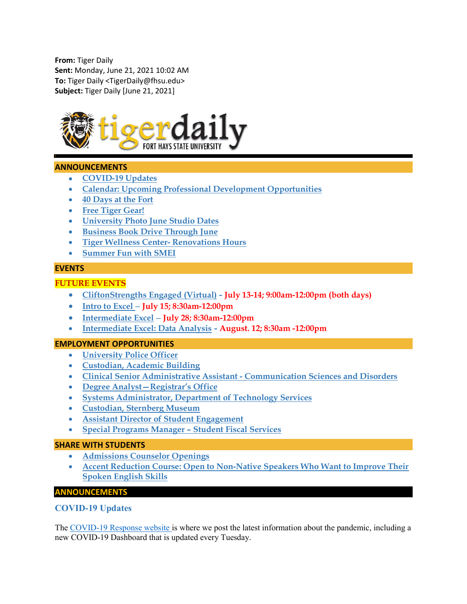From: Tiger Daily Sent: Monday, June 21, 2021 10:02 AM To: Tiger Daily <TigerDaily@fhsu.edu> Subject: Tiger Daily [June 21, 2021]



# ANNOUNCEMENTS

- COVID-19 Updates
- Calendar: Upcoming Professional Development Opportunities
- 40 Days at the Fort
- Free Tiger Gear!
- University Photo June Studio Dates
- Business Book Drive Through June
- Tiger Wellness Center- Renovations Hours
- Summer Fun with SMEI

# **EVENTS**

# FUTURE EVENTS

- CliftonStrengths Engaged (Virtual) July 13-14; 9:00am-12:00pm (both days)
- $\bullet$  Intro to Excel July 15; 8:30am-12:00pm
- Intermediate Excel July 28; 8:30am-12:00pm
- Intermediate Excel: Data Analysis August. 12; 8:30am -12:00pm

# EMPLOYMENT OPPORTUNITIES

- University Police Officer
- Custodian, Academic Building
- Clinical Senior Administrative Assistant Communication Sciences and Disorders
- Degree Analyst—Registrar's Office
- Systems Administrator, Department of Technology Services
- Custodian, Sternberg Museum
- Assistant Director of Student Engagement
- Special Programs Manager Student Fiscal Services

#### SHARE WITH STUDENTS

- Admissions Counselor Openings
- Accent Reduction Course: Open to Non-Native Speakers Who Want to Improve Their Spoken English Skills

# ANNOUNCEMENTS

# COVID-19 Updates

The COVID-19 Response website is where we post the latest information about the pandemic, including a new COVID-19 Dashboard that is updated every Tuesday.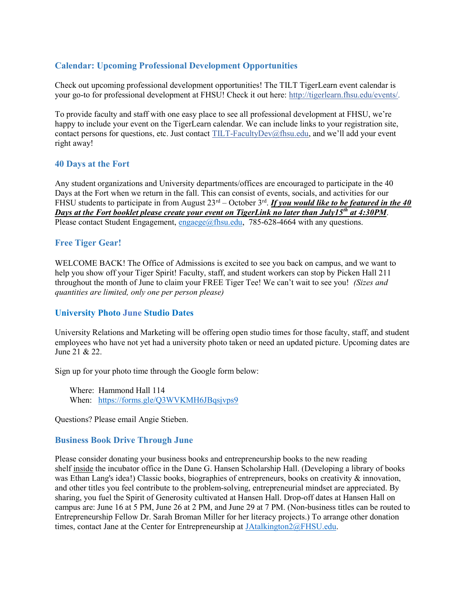# Calendar: Upcoming Professional Development Opportunities

Check out upcoming professional development opportunities! The TILT TigerLearn event calendar is your go-to for professional development at FHSU! Check it out here: http://tigerlearn.fhsu.edu/events/.

To provide faculty and staff with one easy place to see all professional development at FHSU, we're happy to include your event on the TigerLearn calendar. We can include links to your registration site, contact persons for questions, etc. Just contact TILT-FacultyDev@fhsu.edu, and we'll add your event right away!

# 40 Days at the Fort

Any student organizations and University departments/offices are encouraged to participate in the 40 Days at the Fort when we return in the fall. This can consist of events, socials, and activities for our FHSU students to participate in from August  $23<sup>rd</sup> - October 3<sup>rd</sup>$ . If you would like to be featured in the 40 Days at the Fort booklet please create your event on TigerLink no later than July15<sup>th</sup> at 4:30PM. Please contact Student Engagement,  $\frac{engase}{@f}$ fhsu.edu, 785-628-4664 with any questions.

# Free Tiger Gear!

WELCOME BACK! The Office of Admissions is excited to see you back on campus, and we want to help you show off your Tiger Spirit! Faculty, staff, and student workers can stop by Picken Hall 211 throughout the month of June to claim your FREE Tiger Tee! We can't wait to see you! (Sizes and quantities are limited, only one per person please)

# University Photo June Studio Dates

University Relations and Marketing will be offering open studio times for those faculty, staff, and student employees who have not yet had a university photo taken or need an updated picture. Upcoming dates are June 21 & 22.

Sign up for your photo time through the Google form below:

 Where: Hammond Hall 114 When: https://forms.gle/Q3WVKMH6JBqsjvps9

Questions? Please email Angie Stieben.

# Business Book Drive Through June

Please consider donating your business books and entrepreneurship books to the new reading shelf inside the incubator office in the Dane G. Hansen Scholarship Hall. (Developing a library of books was Ethan Lang's idea!) Classic books, biographies of entrepreneurs, books on creativity & innovation, and other titles you feel contribute to the problem-solving, entrepreneurial mindset are appreciated. By sharing, you fuel the Spirit of Generosity cultivated at Hansen Hall. Drop-off dates at Hansen Hall on campus are: June 16 at 5 PM, June 26 at 2 PM, and June 29 at 7 PM. (Non-business titles can be routed to Entrepreneurship Fellow Dr. Sarah Broman Miller for her literacy projects.) To arrange other donation times, contact Jane at the Center for Entrepreneurship at JAtalkington2@FHSU.edu.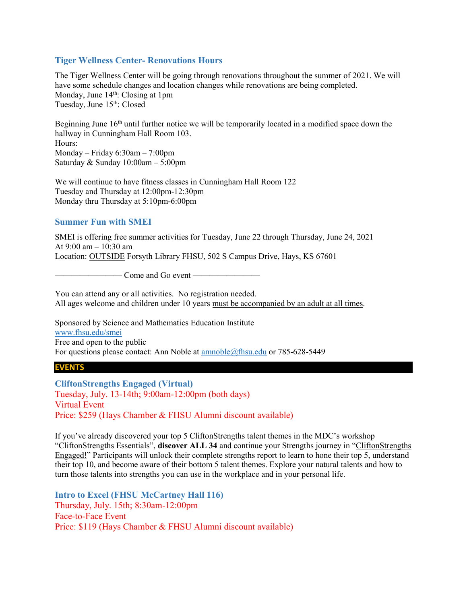# Tiger Wellness Center- Renovations Hours

The Tiger Wellness Center will be going through renovations throughout the summer of 2021. We will have some schedule changes and location changes while renovations are being completed. Monday, June  $14<sup>th</sup>$ : Closing at 1pm Tuesday, June 15<sup>th</sup>: Closed

Beginning June  $16<sup>th</sup>$  until further notice we will be temporarily located in a modified space down the hallway in Cunningham Hall Room 103. Hours: Monday – Friday 6:30am – 7:00pm Saturday & Sunday 10:00am – 5:00pm

We will continue to have fitness classes in Cunningham Hall Room 122 Tuesday and Thursday at 12:00pm-12:30pm Monday thru Thursday at 5:10pm-6:00pm

# Summer Fun with SMEI

SMEI is offering free summer activities for Tuesday, June 22 through Thursday, June 24, 2021 At 9:00 am – 10:30 am Location: OUTSIDE Forsyth Library FHSU, 502 S Campus Drive, Hays, KS 67601

— Come and Go event ————

You can attend any or all activities. No registration needed. All ages welcome and children under 10 years must be accompanied by an adult at all times.

Sponsored by Science and Mathematics Education Institute www.fhsu.edu/smei Free and open to the public For questions please contact: Ann Noble at amnoble@fhsu.edu or 785-628-5449

# EVENTS

CliftonStrengths Engaged (Virtual) Tuesday, July. 13-14th; 9:00am-12:00pm (both days) Virtual Event Price: \$259 (Hays Chamber & FHSU Alumni discount available)

If you've already discovered your top 5 CliftonStrengths talent themes in the MDC's workshop "CliftonStrengths Essentials", discover ALL 34 and continue your Strengths journey in "CliftonStrengths Engaged!" Participants will unlock their complete strengths report to learn to hone their top 5, understand their top 10, and become aware of their bottom 5 talent themes. Explore your natural talents and how to turn those talents into strengths you can use in the workplace and in your personal life.

Intro to Excel (FHSU McCartney Hall 116) Thursday, July. 15th; 8:30am-12:00pm Face-to-Face Event Price: \$119 (Hays Chamber & FHSU Alumni discount available)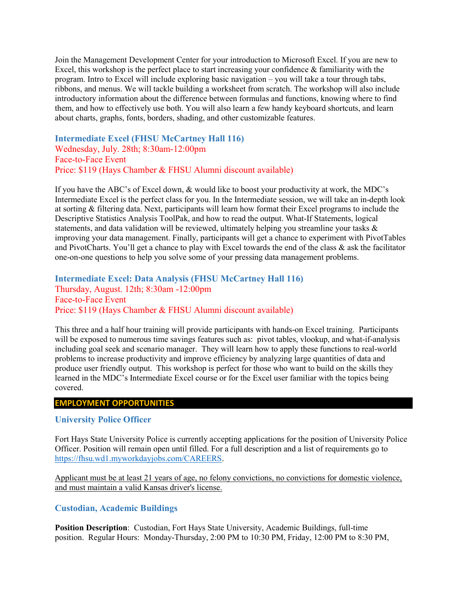Join the Management Development Center for your introduction to Microsoft Excel. If you are new to Excel, this workshop is the perfect place to start increasing your confidence & familiarity with the program. Intro to Excel will include exploring basic navigation – you will take a tour through tabs, ribbons, and menus. We will tackle building a worksheet from scratch. The workshop will also include introductory information about the difference between formulas and functions, knowing where to find them, and how to effectively use both. You will also learn a few handy keyboard shortcuts, and learn about charts, graphs, fonts, borders, shading, and other customizable features.

Intermediate Excel (FHSU McCartney Hall 116) Wednesday, July. 28th; 8:30am-12:00pm Face-to-Face Event Price: \$119 (Hays Chamber & FHSU Alumni discount available)

If you have the ABC's of Excel down, & would like to boost your productivity at work, the MDC's Intermediate Excel is the perfect class for you. In the Intermediate session, we will take an in-depth look at sorting & filtering data. Next, participants will learn how format their Excel programs to include the Descriptive Statistics Analysis ToolPak, and how to read the output. What-If Statements, logical statements, and data validation will be reviewed, ultimately helping you streamline your tasks & improving your data management. Finally, participants will get a chance to experiment with PivotTables and PivotCharts. You'll get a chance to play with Excel towards the end of the class & ask the facilitator one-on-one questions to help you solve some of your pressing data management problems.

Intermediate Excel: Data Analysis (FHSU McCartney Hall 116) Thursday, August. 12th; 8:30am -12:00pm Face-to-Face Event Price: \$119 (Hays Chamber & FHSU Alumni discount available)

This three and a half hour training will provide participants with hands-on Excel training. Participants will be exposed to numerous time savings features such as: pivot tables, vlookup, and what-if-analysis including goal seek and scenario manager. They will learn how to apply these functions to real-world problems to increase productivity and improve efficiency by analyzing large quantities of data and produce user friendly output. This workshop is perfect for those who want to build on the skills they learned in the MDC's Intermediate Excel course or for the Excel user familiar with the topics being covered.

#### EMPLOYMENT OPPORTUNITIES

#### University Police Officer

Fort Hays State University Police is currently accepting applications for the position of University Police Officer. Position will remain open until filled. For a full description and a list of requirements go to https://fhsu.wd1.myworkdayjobs.com/CAREERS.

Applicant must be at least 21 years of age, no felony convictions, no convictions for domestic violence, and must maintain a valid Kansas driver's license.

#### Custodian, Academic Buildings

Position Description: Custodian, Fort Hays State University, Academic Buildings, full-time position. Regular Hours: Monday-Thursday, 2:00 PM to 10:30 PM, Friday, 12:00 PM to 8:30 PM,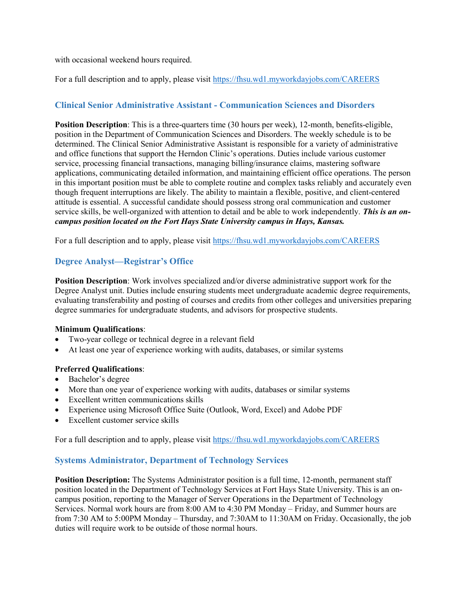with occasional weekend hours required.

For a full description and to apply, please visit https://fhsu.wd1.myworkdayjobs.com/CAREERS

# Clinical Senior Administrative Assistant - Communication Sciences and Disorders

Position Description: This is a three-quarters time (30 hours per week), 12-month, benefits-eligible, position in the Department of Communication Sciences and Disorders. The weekly schedule is to be determined. The Clinical Senior Administrative Assistant is responsible for a variety of administrative and office functions that support the Herndon Clinic's operations. Duties include various customer service, processing financial transactions, managing billing/insurance claims, mastering software applications, communicating detailed information, and maintaining efficient office operations. The person in this important position must be able to complete routine and complex tasks reliably and accurately even though frequent interruptions are likely. The ability to maintain a flexible, positive, and client-centered attitude is essential. A successful candidate should possess strong oral communication and customer service skills, be well-organized with attention to detail and be able to work independently. This is an oncampus position located on the Fort Hays State University campus in Hays, Kansas.

For a full description and to apply, please visit https://fhsu.wd1.myworkdayjobs.com/CAREERS

# Degree Analyst—Registrar's Office

Position Description: Work involves specialized and/or diverse administrative support work for the Degree Analyst unit. Duties include ensuring students meet undergraduate academic degree requirements, evaluating transferability and posting of courses and credits from other colleges and universities preparing degree summaries for undergraduate students, and advisors for prospective students.

# Minimum Qualifications:

- Two-year college or technical degree in a relevant field
- At least one year of experience working with audits, databases, or similar systems

# Preferred Qualifications:

- Bachelor's degree
- More than one year of experience working with audits, databases or similar systems
- Excellent written communications skills
- Experience using Microsoft Office Suite (Outlook, Word, Excel) and Adobe PDF
- Excellent customer service skills

For a full description and to apply, please visit https://fhsu.wd1.myworkdayjobs.com/CAREERS

# Systems Administrator, Department of Technology Services

Position Description: The Systems Administrator position is a full time, 12-month, permanent staff position located in the Department of Technology Services at Fort Hays State University. This is an oncampus position, reporting to the Manager of Server Operations in the Department of Technology Services. Normal work hours are from 8:00 AM to 4:30 PM Monday – Friday, and Summer hours are from 7:30 AM to 5:00PM Monday – Thursday, and 7:30AM to 11:30AM on Friday. Occasionally, the job duties will require work to be outside of those normal hours.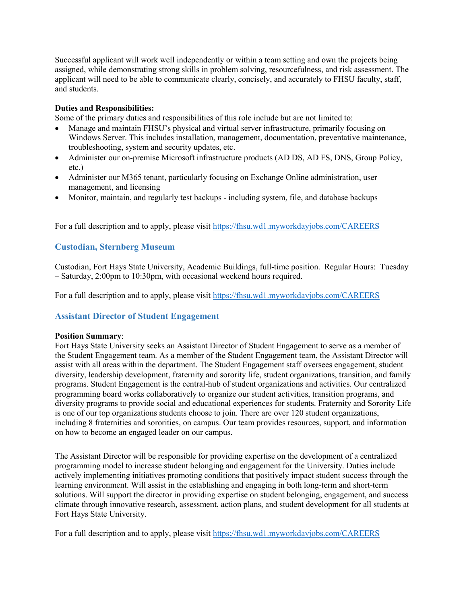Successful applicant will work well independently or within a team setting and own the projects being assigned, while demonstrating strong skills in problem solving, resourcefulness, and risk assessment. The applicant will need to be able to communicate clearly, concisely, and accurately to FHSU faculty, staff, and students.

# Duties and Responsibilities:

Some of the primary duties and responsibilities of this role include but are not limited to:

- Manage and maintain FHSU's physical and virtual server infrastructure, primarily focusing on Windows Server. This includes installation, management, documentation, preventative maintenance, troubleshooting, system and security updates, etc.
- Administer our on-premise Microsoft infrastructure products (AD DS, AD FS, DNS, Group Policy, etc.)
- Administer our M365 tenant, particularly focusing on Exchange Online administration, user management, and licensing
- Monitor, maintain, and regularly test backups including system, file, and database backups

For a full description and to apply, please visit https://fhsu.wd1.myworkdayjobs.com/CAREERS

# Custodian, Sternberg Museum

Custodian, Fort Hays State University, Academic Buildings, full-time position. Regular Hours: Tuesday – Saturday, 2:00pm to 10:30pm, with occasional weekend hours required.

For a full description and to apply, please visit https://fhsu.wd1.myworkdayjobs.com/CAREERS

# Assistant Director of Student Engagement

# Position Summary:

Fort Hays State University seeks an Assistant Director of Student Engagement to serve as a member of the Student Engagement team. As a member of the Student Engagement team, the Assistant Director will assist with all areas within the department. The Student Engagement staff oversees engagement, student diversity, leadership development, fraternity and sorority life, student organizations, transition, and family programs. Student Engagement is the central-hub of student organizations and activities. Our centralized programming board works collaboratively to organize our student activities, transition programs, and diversity programs to provide social and educational experiences for students. Fraternity and Sorority Life is one of our top organizations students choose to join. There are over 120 student organizations, including 8 fraternities and sororities, on campus. Our team provides resources, support, and information on how to become an engaged leader on our campus.

The Assistant Director will be responsible for providing expertise on the development of a centralized programming model to increase student belonging and engagement for the University. Duties include actively implementing initiatives promoting conditions that positively impact student success through the learning environment. Will assist in the establishing and engaging in both long-term and short-term solutions. Will support the director in providing expertise on student belonging, engagement, and success climate through innovative research, assessment, action plans, and student development for all students at Fort Hays State University.

For a full description and to apply, please visit https://fhsu.wd1.myworkdayjobs.com/CAREERS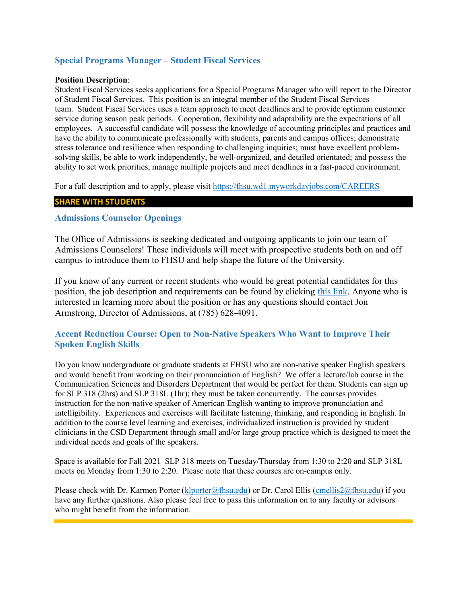# Special Programs Manager – Student Fiscal Services

#### Position Description:

Student Fiscal Services seeks applications for a Special Programs Manager who will report to the Director of Student Fiscal Services. This position is an integral member of the Student Fiscal Services team. Student Fiscal Services uses a team approach to meet deadlines and to provide optimum customer service during season peak periods. Cooperation, flexibility and adaptability are the expectations of all employees. A successful candidate will possess the knowledge of accounting principles and practices and have the ability to communicate professionally with students, parents and campus offices; demonstrate stress tolerance and resilience when responding to challenging inquiries; must have excellent problemsolving skills, be able to work independently, be well-organized, and detailed orientated; and possess the ability to set work priorities, manage multiple projects and meet deadlines in a fast-paced environment.

For a full description and to apply, please visit https://fhsu.wd1.myworkdayjobs.com/CAREERS

# SHARE WITH STUDENTS

# Admissions Counselor Openings

The Office of Admissions is seeking dedicated and outgoing applicants to join our team of Admissions Counselors! These individuals will meet with prospective students both on and off campus to introduce them to FHSU and help shape the future of the University.

If you know of any current or recent students who would be great potential candidates for this position, the job description and requirements can be found by clicking this link. Anyone who is interested in learning more about the position or has any questions should contact Jon Armstrong, Director of Admissions, at (785) 628-4091.

# Accent Reduction Course: Open to Non-Native Speakers Who Want to Improve Their Spoken English Skills

Do you know undergraduate or graduate students at FHSU who are non-native speaker English speakers and would benefit from working on their pronunciation of English? We offer a lecture/lab course in the Communication Sciences and Disorders Department that would be perfect for them. Students can sign up for SLP 318 (2hrs) and SLP 318L (1hr); they must be taken concurrently. The courses provides instruction for the non-native speaker of American English wanting to improve pronunciation and intelligibility. Experiences and exercises will facilitate listening, thinking, and responding in English. In addition to the course level learning and exercises, individualized instruction is provided by student clinicians in the CSD Department through small and/or large group practice which is designed to meet the individual needs and goals of the speakers.

Space is available for Fall 2021 SLP 318 meets on Tuesday/Thursday from 1:30 to 2:20 and SLP 318L meets on Monday from 1:30 to 2:20. Please note that these courses are on-campus only.

Please check with Dr. Karmen Porter (klporter@fhsu.edu) or Dr. Carol Ellis (cmellis2@fhsu.edu) if you have any further questions. Also please feel free to pass this information on to any faculty or advisors who might benefit from the information.